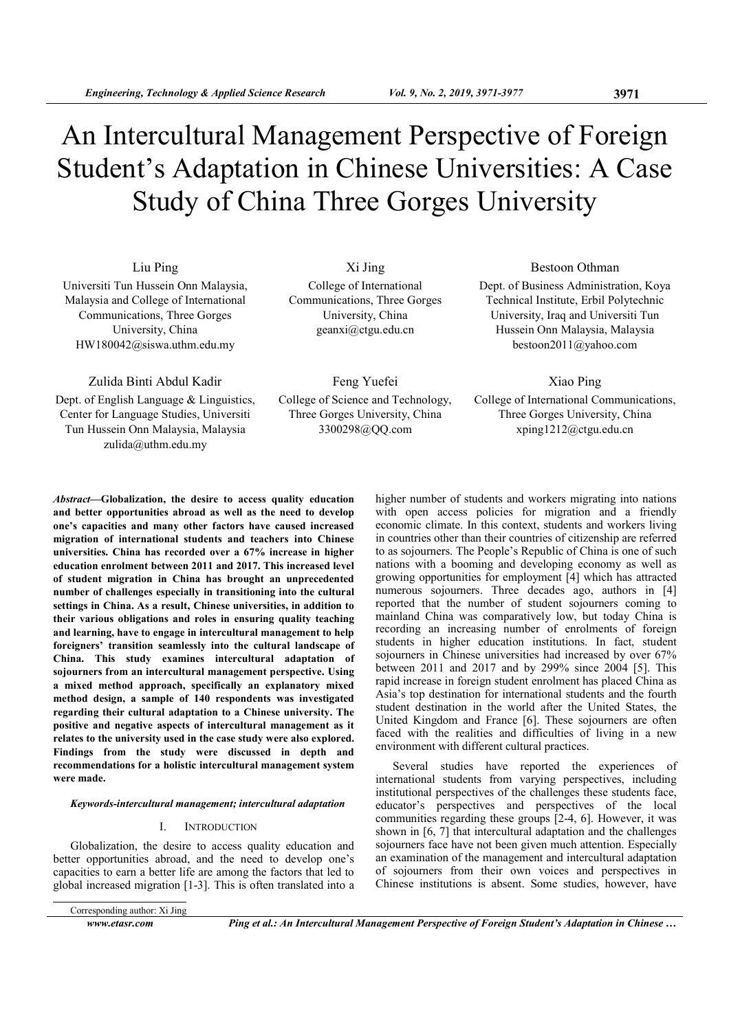# An Intercultural Management Perspective of Foreign Student's Adaptation in Chinese Universities: A Case Study of China Three Gorges University

Liu Ping Universiti Tun Hussein Onn Malaysia, Malaysia and College of International Communications, Three Gorges University, China HW180042@siswa.uthm.edu.my

Zulida Binti Abdul Kadir

Dept. of English Language & Linguistics, Center for Language Studies, Universiti Tun Hussein Onn Malaysia, Malaysia zulida@uthm.edu.my

Xi Jing College of International Communications, Three Gorges University, China geanxi@ctgu.edu.cn

Feng Yuefei College of Science and Technology, Three Gorges University, China 3300298@QQ.com

Bestoon Othman Dept. of Business Administration, Koya Technical Institute, Erbil Polytechnic University, Iraq and Universiti Tun Hussein Onn Malaysia, Malaysia bestoon2011@yahoo.com

Xiao Ping

College of International Communications, Three Gorges University, China xping1212@ctgu.edu.cn

Abstract—Globalization, the desire to access quality education and better opportunities abroad as well as the need to develop one's capacities and many other factors have caused increased migration of international students and teachers into Chinese universities. China has recorded over a 67% increase in higher education enrolment between 2011 and 2017. This increased level of student migration in China has brought an unprecedented number of challenges especially in transitioning into the cultural settings in China. As a result, Chinese universities, in addition to their various obligations and roles in ensuring quality teaching and learning, have to engage in intercultural management to help foreigners' transition seamlessly into the cultural landscape of China. This study examines intercultural adaptation of sojourners from an intercultural management perspective. Using a mixed method approach, specifically an explanatory mixed method design, a sample of 140 respondents was investigated regarding their cultural adaptation to a Chinese university. The positive and negative aspects of intercultural management as it relates to the university used in the case study were also explored. Findings from the study were discussed in depth and recommendations for a holistic intercultural management system were made.

#### Keywords-intercultural management; intercultural adaptation

#### I. INTRODUCTION

Globalization, the desire to access quality education and better opportunities abroad, and the need to develop one's capacities to earn a better life are among the factors that led to global increased migration [1-3]. This is often translated into a

Corresponding author: Xi Jing

www.etasr.com Ping et al.: An Intercultural Management Perspective of Foreign Student's Adaptation in Chinese ...

higher number of students and workers migrating into nations with open access policies for migration and a friendly economic climate. In this context, students and workers living in countries other than their countries of citizenship are referred to as sojourners. The People's Republic of China is one of such nations with a booming and developing economy as well as growing opportunities for employment [4] which has attracted numerous sojourners. Three decades ago, authors in [4] reported that the number of student sojourners coming to mainland China was comparatively low, but today China is recording an increasing number of enrolments of foreign students in higher education institutions. In fact, student sojourners in Chinese universities had increased by over 67% between 2011 and 2017 and by 299% since 2004 [5]. This rapid increase in foreign student enrolment has placed China as Asia's top destination for international students and the fourth student destination in the world after the United States, the United Kingdom and France [6]. These sojourners are often faced with the realities and difficulties of living in a new environment with different cultural practices.

Several studies have reported the experiences of international students from varying perspectives, including institutional perspectives of the challenges these students face, educator's perspectives and perspectives of the local communities regarding these groups [2-4, 6]. However, it was shown in [6, 7] that intercultural adaptation and the challenges sojourners face have not been given much attention. Especially an examination of the management and intercultural adaptation of sojourners from their own voices and perspectives in Chinese institutions is absent. Some studies, however, have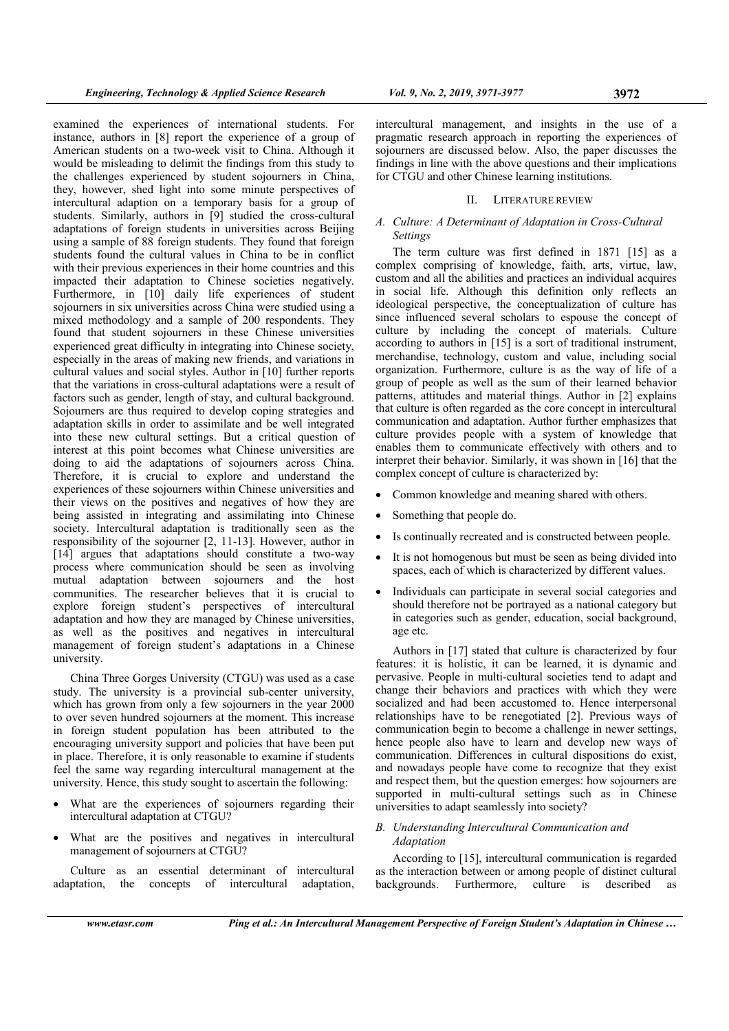examined the experiences of international students. For instance, authors in [8] report the experience of a group of American students on a two-week visit to China. Although it would be misleading to delimit the findings from this study to the challenges experienced by student sojourners in China, they, however, shed light into some minute perspectives of intercultural adaption on a temporary basis for a group of students. Similarly, authors in [9] studied the cross-cultural adaptations of foreign students in universities across Beijing using a sample of 88 foreign students. They found that foreign students found the cultural values in China to be in conflict with their previous experiences in their home countries and this impacted their adaptation to Chinese societies negatively. Furthermore, in [10] daily life experiences of student sojourners in six universities across China were studied using a mixed methodology and a sample of 200 respondents. They found that student sojourners in these Chinese universities experienced great difficulty in integrating into Chinese society, especially in the areas of making new friends, and variations in cultural values and social styles. Author in [10] further reports that the variations in cross-cultural adaptations were a result of factors such as gender, length of stay, and cultural background. Sojourners are thus required to develop coping strategies and adaptation skills in order to assimilate and be well integrated into these new cultural settings. But a critical question of interest at this point becomes what Chinese universities are doing to aid the adaptations of sojourners across China. Therefore, it is crucial to explore and understand the experiences of these sojourners within Chinese universities and their views on the positives and negatives of how they are being assisted in integrating and assimilating into Chinese society. Intercultural adaptation is traditionally seen as the responsibility of the sojourner [2, 11-13]. However, author in [14] argues that adaptations should constitute a two-way process where communication should be seen as involving mutual adaptation between sojourners and the host communities. The researcher believes that it is crucial to explore foreign student's perspectives of intercultural adaptation and how they are managed by Chinese universities, as well as the positives and negatives in intercultural management of foreign student's adaptations in a Chinese university.

China Three Gorges University (CTGU) was used as a case study. The university is a provincial sub-center university, which has grown from only a few sojourners in the year 2000 to over seven hundred sojourners at the moment. This increase in foreign student population has been attributed to the encouraging university support and policies that have been put in place. Therefore, it is only reasonable to examine if students feel the same way regarding intercultural management at the university. Hence, this study sought to ascertain the following:

- What are the experiences of sojourners regarding their intercultural adaptation at CTGU?
- What are the positives and negatives in intercultural management of sojourners at CTGU?

Culture as an essential determinant of intercultural adaptation, the concepts of intercultural adaptation, intercultural management, and insights in the use of a pragmatic research approach in reporting the experiences of sojourners are discussed below. Also, the paper discusses the findings in line with the above questions and their implications for CTGU and other Chinese learning institutions.

#### II. LITERATURE REVIEW

# A. Culture: A Determinant of Adaptation in Cross-Cultural Settings

The term culture was first defined in 1871 [15] as a complex comprising of knowledge, faith, arts, virtue, law, custom and all the abilities and practices an individual acquires in social life. Although this definition only reflects an ideological perspective, the conceptualization of culture has since influenced several scholars to espouse the concept of culture by including the concept of materials. Culture according to authors in [15] is a sort of traditional instrument, merchandise, technology, custom and value, including social organization. Furthermore, culture is as the way of life of a group of people as well as the sum of their learned behavior patterns, attitudes and material things. Author in [2] explains that culture is often regarded as the core concept in intercultural communication and adaptation. Author further emphasizes that culture provides people with a system of knowledge that enables them to communicate effectively with others and to interpret their behavior. Similarly, it was shown in [16] that the complex concept of culture is characterized by:

- Common knowledge and meaning shared with others.
- Something that people do.
- Is continually recreated and is constructed between people.
- It is not homogenous but must be seen as being divided into spaces, each of which is characterized by different values.
- Individuals can participate in several social categories and should therefore not be portrayed as a national category but in categories such as gender, education, social background, age etc.

Authors in [17] stated that culture is characterized by four features: it is holistic, it can be learned, it is dynamic and pervasive. People in multi-cultural societies tend to adapt and change their behaviors and practices with which they were socialized and had been accustomed to. Hence interpersonal relationships have to be renegotiated [2]. Previous ways of communication begin to become a challenge in newer settings, hence people also have to learn and develop new ways of communication. Differences in cultural dispositions do exist, and nowadays people have come to recognize that they exist and respect them, but the question emerges: how sojourners are supported in multi-cultural settings such as in Chinese universities to adapt seamlessly into society?

# B. Understanding Intercultural Communication and Adaptation

According to [15], intercultural communication is regarded as the interaction between or among people of distinct cultural backgrounds. Furthermore, culture is described as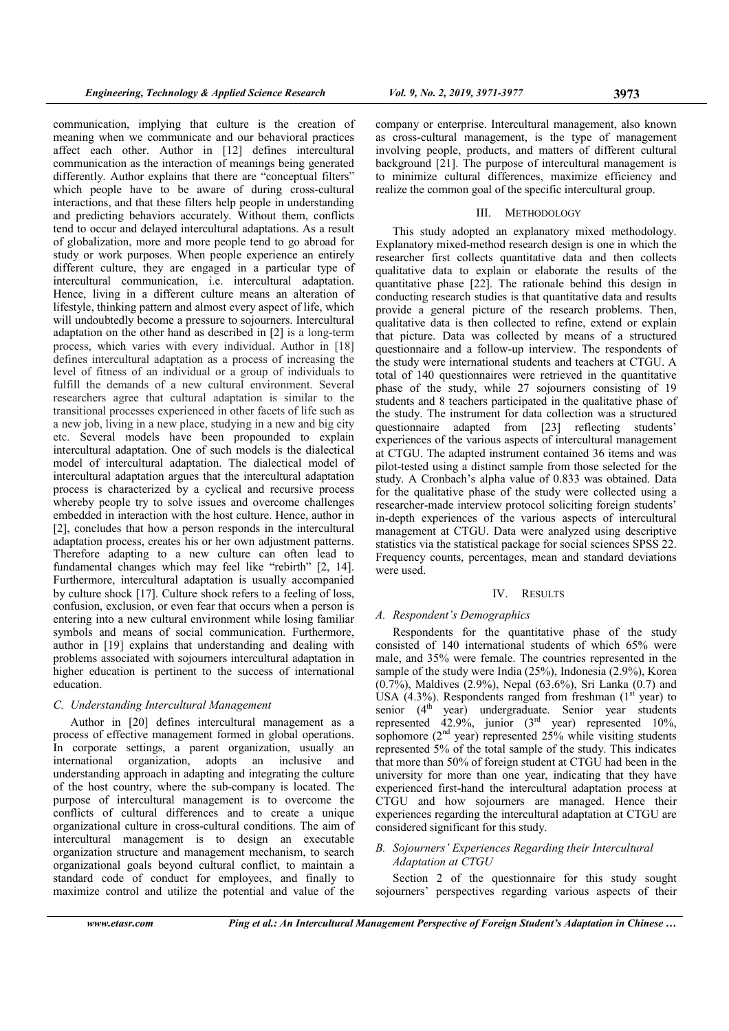communication, implying that culture is the creation of meaning when we communicate and our behavioral practices affect each other. Author in [12] defines intercultural communication as the interaction of meanings being generated differently. Author explains that there are "conceptual filters" which people have to be aware of during cross-cultural interactions, and that these filters help people in understanding and predicting behaviors accurately. Without them, conflicts tend to occur and delayed intercultural adaptations. As a result of globalization, more and more people tend to go abroad for study or work purposes. When people experience an entirely different culture, they are engaged in a particular type of intercultural communication, i.e. intercultural adaptation. Hence, living in a different culture means an alteration of lifestyle, thinking pattern and almost every aspect of life, which will undoubtedly become a pressure to sojourners. Intercultural adaptation on the other hand as described in [2] is a long-term process, which varies with every individual. Author in [18] defines intercultural adaptation as a process of increasing the level of fitness of an individual or a group of individuals to fulfill the demands of a new cultural environment. Several researchers agree that cultural adaptation is similar to the transitional processes experienced in other facets of life such as a new job, living in a new place, studying in a new and big city etc. Several models have been propounded to explain intercultural adaptation. One of such models is the dialectical model of intercultural adaptation. The dialectical model of intercultural adaptation argues that the intercultural adaptation process is characterized by a cyclical and recursive process whereby people try to solve issues and overcome challenges embedded in interaction with the host culture. Hence, author in [2], concludes that how a person responds in the intercultural adaptation process, creates his or her own adjustment patterns. Therefore adapting to a new culture can often lead to fundamental changes which may feel like "rebirth" [2, 14]. Furthermore, intercultural adaptation is usually accompanied by culture shock [17]. Culture shock refers to a feeling of loss, confusion, exclusion, or even fear that occurs when a person is entering into a new cultural environment while losing familiar symbols and means of social communication. Furthermore, author in [19] explains that understanding and dealing with problems associated with sojourners intercultural adaptation in higher education is pertinent to the success of international education.

# C. Understanding Intercultural Management

Author in [20] defines intercultural management as a process of effective management formed in global operations. In corporate settings, a parent organization, usually an international organization, adopts an inclusive and understanding approach in adapting and integrating the culture of the host country, where the sub-company is located. The purpose of intercultural management is to overcome the conflicts of cultural differences and to create a unique organizational culture in cross-cultural conditions. The aim of intercultural management is to design an executable organization structure and management mechanism, to search organizational goals beyond cultural conflict, to maintain a standard code of conduct for employees, and finally to maximize control and utilize the potential and value of the

company or enterprise. Intercultural management, also known as cross-cultural management, is the type of management involving people, products, and matters of different cultural background [21]. The purpose of intercultural management is to minimize cultural differences, maximize efficiency and realize the common goal of the specific intercultural group.

#### III. METHODOLOGY

This study adopted an explanatory mixed methodology. Explanatory mixed-method research design is one in which the researcher first collects quantitative data and then collects qualitative data to explain or elaborate the results of the quantitative phase [22]. The rationale behind this design in conducting research studies is that quantitative data and results provide a general picture of the research problems. Then, qualitative data is then collected to refine, extend or explain that picture. Data was collected by means of a structured questionnaire and a follow-up interview. The respondents of the study were international students and teachers at CTGU. A total of 140 questionnaires were retrieved in the quantitative phase of the study, while 27 sojourners consisting of 19 students and 8 teachers participated in the qualitative phase of the study. The instrument for data collection was a structured questionnaire adapted from [23] reflecting students' experiences of the various aspects of intercultural management at CTGU. The adapted instrument contained 36 items and was pilot-tested using a distinct sample from those selected for the study. A Cronbach's alpha value of 0.833 was obtained. Data for the qualitative phase of the study were collected using a researcher-made interview protocol soliciting foreign students' in-depth experiences of the various aspects of intercultural management at CTGU. Data were analyzed using descriptive statistics via the statistical package for social sciences SPSS 22. Frequency counts, percentages, mean and standard deviations were used.

#### IV. RESULTS

#### A. Respondent's Demographics

Respondents for the quantitative phase of the study consisted of 140 international students of which 65% were male, and 35% were female. The countries represented in the sample of the study were India (25%), Indonesia (2.9%), Korea (0.7%), Maldives (2.9%), Nepal (63.6%), Sri Lanka (0.7) and USA (4.3%). Respondents ranged from freshman  $(1<sup>st</sup>$  year) to senior  $(4^{th}$  year) undergraduate. Senior year students represented  $42.9\%$ , junior (3<sup>rd</sup> year) represented 10%, sophomore  $(2<sup>nd</sup> year)$  represented 25% while visiting students represented 5% of the total sample of the study. This indicates that more than 50% of foreign student at CTGU had been in the university for more than one year, indicating that they have experienced first-hand the intercultural adaptation process at CTGU and how sojourners are managed. Hence their experiences regarding the intercultural adaptation at CTGU are considered significant for this study.

# B. Sojourners' Experiences Regarding their Intercultural Adaptation at CTGU

Section 2 of the questionnaire for this study sought sojourners' perspectives regarding various aspects of their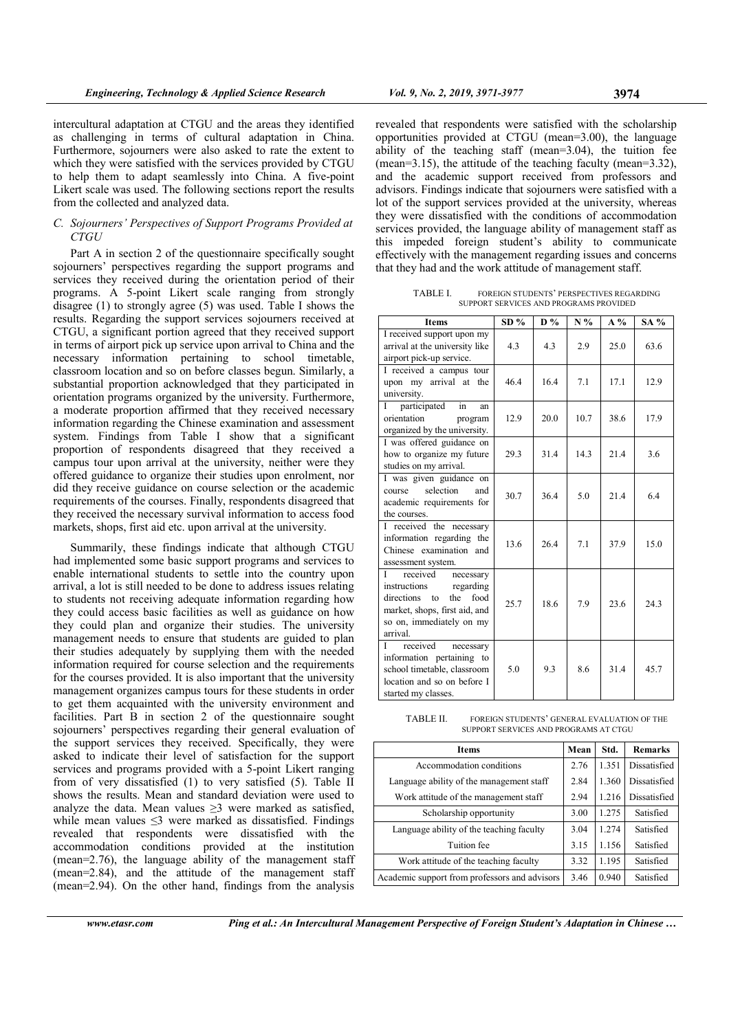intercultural adaptation at CTGU and the areas they identified as challenging in terms of cultural adaptation in China. Furthermore, sojourners were also asked to rate the extent to which they were satisfied with the services provided by CTGU to help them to adapt seamlessly into China. A five-point Likert scale was used. The following sections report the results from the collected and analyzed data.

#### C. Sojourners' Perspectives of Support Programs Provided at CTGU

Part A in section 2 of the questionnaire specifically sought sojourners' perspectives regarding the support programs and services they received during the orientation period of their programs. A 5-point Likert scale ranging from strongly disagree (1) to strongly agree (5) was used. Table I shows the results. Regarding the support services sojourners received at CTGU, a significant portion agreed that they received support in terms of airport pick up service upon arrival to China and the necessary information pertaining to school timetable, classroom location and so on before classes begun. Similarly, a substantial proportion acknowledged that they participated in orientation programs organized by the university. Furthermore, a moderate proportion affirmed that they received necessary information regarding the Chinese examination and assessment system. Findings from Table I show that a significant proportion of respondents disagreed that they received a campus tour upon arrival at the university, neither were they offered guidance to organize their studies upon enrolment, nor did they receive guidance on course selection or the academic requirements of the courses. Finally, respondents disagreed that they received the necessary survival information to access food markets, shops, first aid etc. upon arrival at the university.

Summarily, these findings indicate that although CTGU had implemented some basic support programs and services to enable international students to settle into the country upon arrival, a lot is still needed to be done to address issues relating to students not receiving adequate information regarding how they could access basic facilities as well as guidance on how they could plan and organize their studies. The university management needs to ensure that students are guided to plan their studies adequately by supplying them with the needed information required for course selection and the requirements for the courses provided. It is also important that the university management organizes campus tours for these students in order to get them acquainted with the university environment and facilities. Part B in section 2 of the questionnaire sought sojourners' perspectives regarding their general evaluation of the support services they received. Specifically, they were asked to indicate their level of satisfaction for the support services and programs provided with a 5-point Likert ranging from of very dissatisfied (1) to very satisfied (5). Table II shows the results. Mean and standard deviation were used to analyze the data. Mean values > 3 were marked as satisfied, while mean values  $\leq$ 3 were marked as dissatisfied. Findings revealed that respondents were dissatisfied with the accommodation conditions provided at the institution (mean=2.76), the language ability of the management staff (mean=2.84), and the attitude of the management staff (mean=2.94). On the other hand, findings from the analysis

revealed that respondents were satisfied with the scholarship opportunities provided at CTGU (mean=3.00), the language ability of the teaching staff (mean=3.04), the tuition fee (mean=3.15), the attitude of the teaching faculty (mean=3.32), and the academic support received from professors and advisors. Findings indicate that sojourners were satisfied with a lot of the support services provided at the university, whereas they were dissatisfied with the conditions of accommodation services provided, the language ability of management staff as this impeded foreign student's ability to communicate effectively with the management regarding issues and concerns that they had and the work attitude of management staff.

TABLE I. FOREIGN STUDENTS' PERSPECTIVES REGARDING SUPPORT SERVICES AND PROGRAMS PROVIDED

| <b>Items</b>                                                                                                                                                                   | SD%  | $D\%$ | $N\%$ | $A\%$ | SA % |
|--------------------------------------------------------------------------------------------------------------------------------------------------------------------------------|------|-------|-------|-------|------|
| I received support upon my<br>arrival at the university like<br>airport pick-up service.                                                                                       | 4.3  | 4.3   | 2.9   | 25.0  | 63.6 |
| I received a campus tour<br>arrival at the<br>upon my<br>university.                                                                                                           | 46.4 | 16.4  | 7.1   | 17.1  | 12.9 |
| participated<br>in<br>Ι<br>an<br>orientation<br>program<br>organized by the university.                                                                                        | 12.9 | 20.0  | 10.7  | 38.6  | 17.9 |
| I was offered guidance on<br>how to organize my future<br>studies on my arrival.                                                                                               | 29.3 | 31.4  | 14.3  | 21.4  | 3.6  |
| I was given guidance on<br>selection<br>and<br>course<br>academic requirements for<br>the courses.                                                                             | 30.7 | 36.4  | 5.0   | 21.4  | 6.4  |
| I received the necessary<br>information regarding the<br>Chinese examination and<br>assessment system.                                                                         | 13.6 | 26.4  | 7.1   | 37.9  | 15.0 |
| received<br>L<br>necessary<br>instructions<br>regarding<br>the<br>food<br>directions<br>$\mathsf{to}$<br>market, shops, first aid, and<br>so on, immediately on my<br>arrival. | 25.7 | 18.6  | 7.9   | 23.6  | 24.3 |
| received<br>Τ<br>necessary<br>information pertaining to<br>school timetable, classroom<br>location and so on before I<br>started my classes.                                   | 5.0  | 93    | 8.6   | 31.4  | 45.7 |

| TABLE II. | FOREIGN STUDENTS' GENERAL EVALUATION OF THE |
|-----------|---------------------------------------------|
|           | SUPPORT SERVICES AND PROGRAMS AT CTGU       |

| <b>Items</b>                                  |  | Std.  | <b>Remarks</b> |
|-----------------------------------------------|--|-------|----------------|
| Accommodation conditions                      |  | 1.351 | Dissatisfied   |
| Language ability of the management staff      |  | 1.360 | Dissatisfied   |
| Work attitude of the management staff         |  | 1.216 | Dissatisfied   |
| Scholarship opportunity                       |  | 1.275 | Satisfied      |
| Language ability of the teaching faculty      |  | 1.274 | Satisfied      |
| Tuition fee                                   |  | 1.156 | Satisfied      |
| Work attitude of the teaching faculty         |  | 1.195 | Satisfied      |
| Academic support from professors and advisors |  | 0.940 | Satisfied      |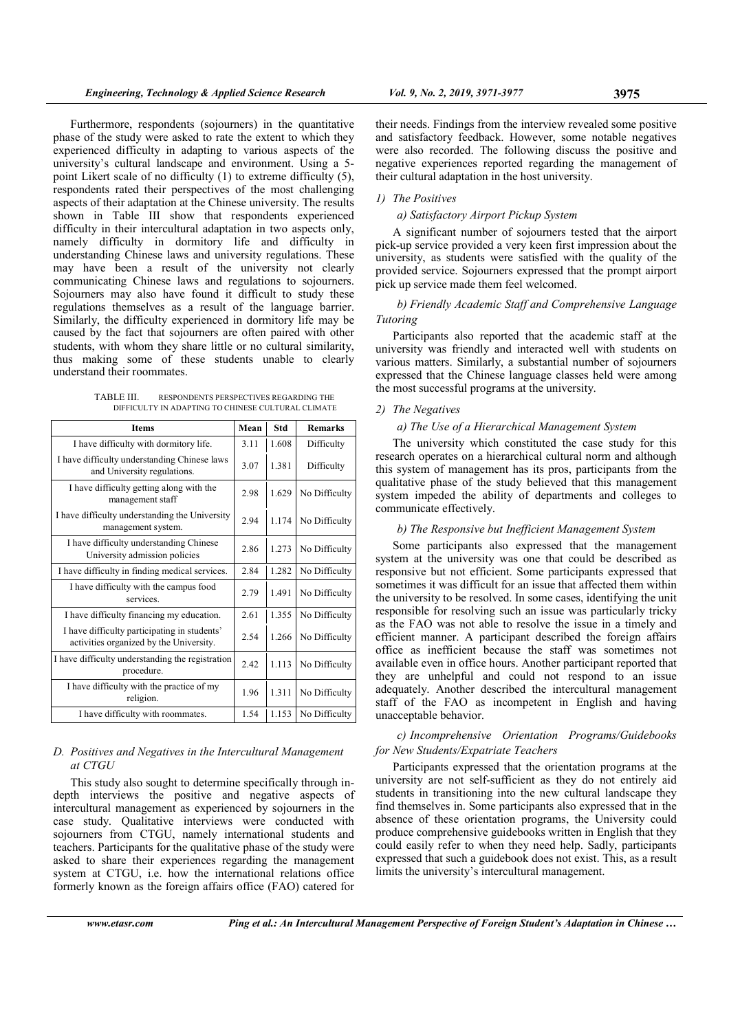Furthermore, respondents (sojourners) in the quantitative phase of the study were asked to rate the extent to which they experienced difficulty in adapting to various aspects of the university's cultural landscape and environment. Using a 5 point Likert scale of no difficulty (1) to extreme difficulty (5), respondents rated their perspectives of the most challenging aspects of their adaptation at the Chinese university. The results shown in Table III show that respondents experienced difficulty in their intercultural adaptation in two aspects only, namely difficulty in dormitory life and difficulty in understanding Chinese laws and university regulations. These may have been a result of the university not clearly communicating Chinese laws and regulations to sojourners. Sojourners may also have found it difficult to study these regulations themselves as a result of the language barrier. Similarly, the difficulty experienced in dormitory life may be caused by the fact that sojourners are often paired with other students, with whom they share little or no cultural similarity, thus making some of these students unable to clearly understand their roommates.

TABLE III. RESPONDENTS PERSPECTIVES REGARDING THE DIFFICULTY IN ADAPTING TO CHINESE CULTURAL CLIMATE

| <b>Items</b>                                                                            |      | Std   | <b>Remarks</b> |
|-----------------------------------------------------------------------------------------|------|-------|----------------|
| I have difficulty with dormitory life.                                                  | 3.11 | 1.608 | Difficulty     |
| I have difficulty understanding Chinese laws<br>and University regulations.             |      | 1.381 | Difficulty     |
| I have difficulty getting along with the<br>management staff                            |      | 1.629 | No Difficulty  |
| I have difficulty understanding the University<br>management system.                    |      | 1.174 | No Difficulty  |
| I have difficulty understanding Chinese<br>University admission policies                | 2.86 | 1.273 | No Difficulty  |
| I have difficulty in finding medical services.                                          | 2.84 | 1.282 | No Difficulty  |
| I have difficulty with the campus food<br>services.                                     |      | 1.491 | No Difficulty  |
| I have difficulty financing my education.                                               |      | 1.355 | No Difficulty  |
| I have difficulty participating in students'<br>activities organized by the University. |      | 1.266 | No Difficulty  |
| I have difficulty understanding the registration<br>procedure.                          |      | 1.113 | No Difficulty  |
| I have difficulty with the practice of my<br>religion.                                  |      | 1.311 | No Difficulty  |
| I have difficulty with roommates.                                                       | 1.54 | 1.153 | No Difficulty  |

#### D. Positives and Negatives in the Intercultural Management at CTGU

This study also sought to determine specifically through indepth interviews the positive and negative aspects of intercultural management as experienced by sojourners in the case study. Qualitative interviews were conducted with sojourners from CTGU, namely international students and teachers. Participants for the qualitative phase of the study were asked to share their experiences regarding the management system at CTGU, i.e. how the international relations office formerly known as the foreign affairs office (FAO) catered for

their needs. Findings from the interview revealed some positive and satisfactory feedback. However, some notable negatives were also recorded. The following discuss the positive and negative experiences reported regarding the management of their cultural adaptation in the host university.

#### 1) The Positives

#### a) Satisfactory Airport Pickup System

A significant number of sojourners tested that the airport pick-up service provided a very keen first impression about the university, as students were satisfied with the quality of the provided service. Sojourners expressed that the prompt airport pick up service made them feel welcomed.

# b) Friendly Academic Staff and Comprehensive Language Tutoring

Participants also reported that the academic staff at the university was friendly and interacted well with students on various matters. Similarly, a substantial number of sojourners expressed that the Chinese language classes held were among the most successful programs at the university.

#### 2) The Negatives

#### a) The Use of a Hierarchical Management System

The university which constituted the case study for this research operates on a hierarchical cultural norm and although this system of management has its pros, participants from the qualitative phase of the study believed that this management system impeded the ability of departments and colleges to communicate effectively.

# b) The Responsive but Inefficient Management System

Some participants also expressed that the management system at the university was one that could be described as responsive but not efficient. Some participants expressed that sometimes it was difficult for an issue that affected them within the university to be resolved. In some cases, identifying the unit responsible for resolving such an issue was particularly tricky as the FAO was not able to resolve the issue in a timely and efficient manner. A participant described the foreign affairs office as inefficient because the staff was sometimes not available even in office hours. Another participant reported that they are unhelpful and could not respond to an issue adequately. Another described the intercultural management staff of the FAO as incompetent in English and having unacceptable behavior.

# c) Incomprehensive Orientation Programs/Guidebooks for New Students/Expatriate Teachers

Participants expressed that the orientation programs at the university are not self-sufficient as they do not entirely aid students in transitioning into the new cultural landscape they find themselves in. Some participants also expressed that in the absence of these orientation programs, the University could produce comprehensive guidebooks written in English that they could easily refer to when they need help. Sadly, participants expressed that such a guidebook does not exist. This, as a result limits the university's intercultural management.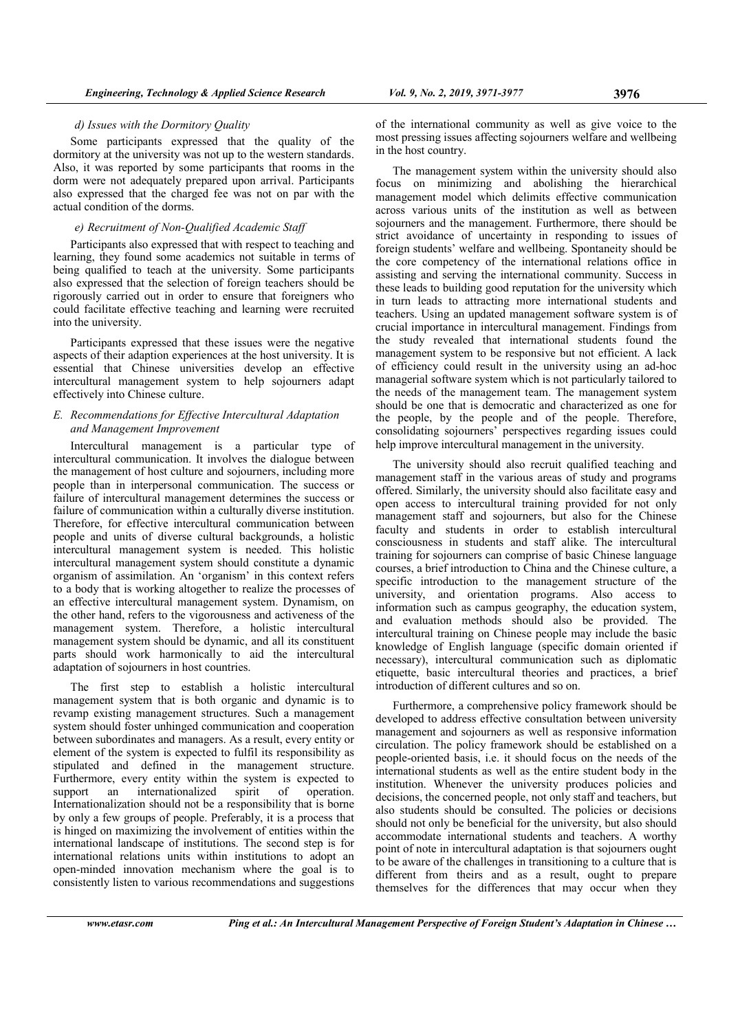d) Issues with the Dormitory Quality

Some participants expressed that the quality of the dormitory at the university was not up to the western standards. Also, it was reported by some participants that rooms in the dorm were not adequately prepared upon arrival. Participants also expressed that the charged fee was not on par with the actual condition of the dorms.

# e) Recruitment of Non-Qualified Academic Staff

Participants also expressed that with respect to teaching and learning, they found some academics not suitable in terms of being qualified to teach at the university. Some participants also expressed that the selection of foreign teachers should be rigorously carried out in order to ensure that foreigners who could facilitate effective teaching and learning were recruited into the university.

Participants expressed that these issues were the negative aspects of their adaption experiences at the host university. It is essential that Chinese universities develop an effective intercultural management system to help sojourners adapt effectively into Chinese culture.

# E. Recommendations for Effective Intercultural Adaptation and Management Improvement

Intercultural management is a particular type of intercultural communication. It involves the dialogue between the management of host culture and sojourners, including more people than in interpersonal communication. The success or failure of intercultural management determines the success or failure of communication within a culturally diverse institution. Therefore, for effective intercultural communication between people and units of diverse cultural backgrounds, a holistic intercultural management system is needed. This holistic intercultural management system should constitute a dynamic organism of assimilation. An 'organism' in this context refers to a body that is working altogether to realize the processes of an effective intercultural management system. Dynamism, on the other hand, refers to the vigorousness and activeness of the management system. Therefore, a holistic intercultural management system should be dynamic, and all its constituent parts should work harmonically to aid the intercultural adaptation of sojourners in host countries.

The first step to establish a holistic intercultural management system that is both organic and dynamic is to revamp existing management structures. Such a management system should foster unhinged communication and cooperation between subordinates and managers. As a result, every entity or element of the system is expected to fulfil its responsibility as stipulated and defined in the management structure. Furthermore, every entity within the system is expected to support an internationalized spirit of operation. support an internationalized Internationalization should not be a responsibility that is borne by only a few groups of people. Preferably, it is a process that is hinged on maximizing the involvement of entities within the international landscape of institutions. The second step is for international relations units within institutions to adopt an open-minded innovation mechanism where the goal is to consistently listen to various recommendations and suggestions

of the international community as well as give voice to the most pressing issues affecting sojourners welfare and wellbeing in the host country.

The management system within the university should also focus on minimizing and abolishing the hierarchical management model which delimits effective communication across various units of the institution as well as between sojourners and the management. Furthermore, there should be strict avoidance of uncertainty in responding to issues of foreign students' welfare and wellbeing. Spontaneity should be the core competency of the international relations office in assisting and serving the international community. Success in these leads to building good reputation for the university which in turn leads to attracting more international students and teachers. Using an updated management software system is of crucial importance in intercultural management. Findings from the study revealed that international students found the management system to be responsive but not efficient. A lack of efficiency could result in the university using an ad-hoc managerial software system which is not particularly tailored to the needs of the management team. The management system should be one that is democratic and characterized as one for the people, by the people and of the people. Therefore, consolidating sojourners' perspectives regarding issues could help improve intercultural management in the university.

The university should also recruit qualified teaching and management staff in the various areas of study and programs offered. Similarly, the university should also facilitate easy and open access to intercultural training provided for not only management staff and sojourners, but also for the Chinese faculty and students in order to establish intercultural consciousness in students and staff alike. The intercultural training for sojourners can comprise of basic Chinese language courses, a brief introduction to China and the Chinese culture, a specific introduction to the management structure of the university, and orientation programs. Also access to information such as campus geography, the education system, and evaluation methods should also be provided. The intercultural training on Chinese people may include the basic knowledge of English language (specific domain oriented if necessary), intercultural communication such as diplomatic etiquette, basic intercultural theories and practices, a brief introduction of different cultures and so on.

Furthermore, a comprehensive policy framework should be developed to address effective consultation between university management and sojourners as well as responsive information circulation. The policy framework should be established on a people-oriented basis, i.e. it should focus on the needs of the international students as well as the entire student body in the institution. Whenever the university produces policies and decisions, the concerned people, not only staff and teachers, but also students should be consulted. The policies or decisions should not only be beneficial for the university, but also should accommodate international students and teachers. A worthy point of note in intercultural adaptation is that sojourners ought to be aware of the challenges in transitioning to a culture that is different from theirs and as a result, ought to prepare themselves for the differences that may occur when they